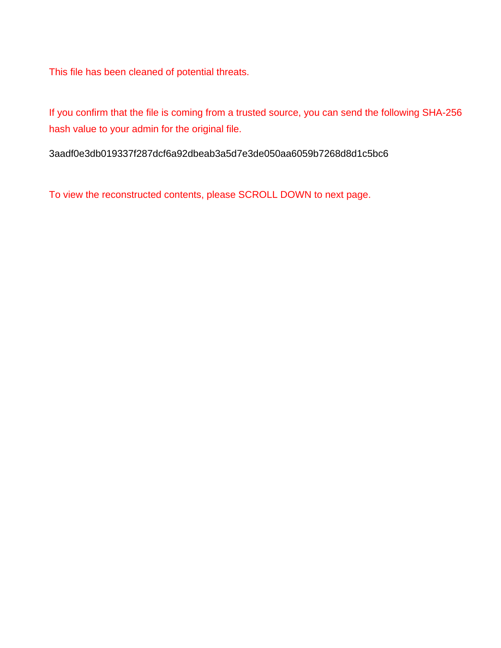This file has been cleaned of potential threats.

If you confirm that the file is coming from a trusted source, you can send the following SHA-256 hash value to your admin for the original file.

3aadf0e3db019337f287dcf6a92dbeab3a5d7e3de050aa6059b7268d8d1c5bc6

To view the reconstructed contents, please SCROLL DOWN to next page.